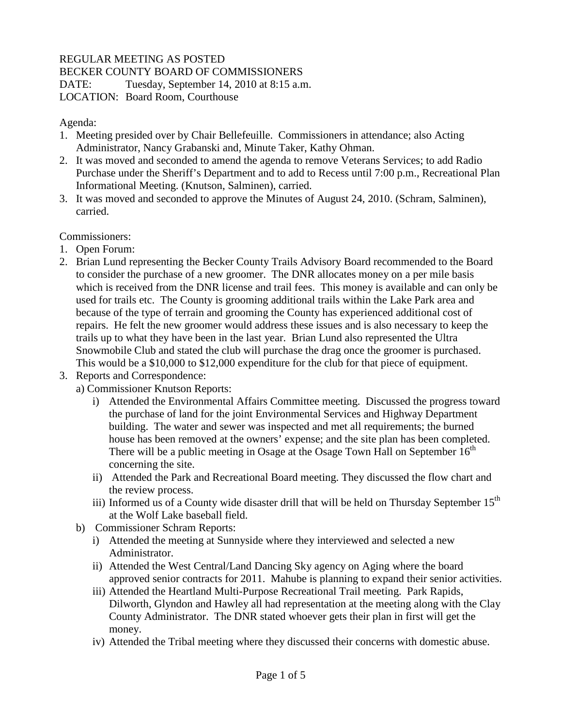## REGULAR MEETING AS POSTED

BECKER COUNTY BOARD OF COMMISSIONERS

DATE: Tuesday, September 14, 2010 at 8:15 a.m.

LOCATION: Board Room, Courthouse

Agenda:

- 1. Meeting presided over by Chair Bellefeuille. Commissioners in attendance; also Acting Administrator, Nancy Grabanski and, Minute Taker, Kathy Ohman.
- 2. It was moved and seconded to amend the agenda to remove Veterans Services; to add Radio Purchase under the Sheriff's Department and to add to Recess until 7:00 p.m., Recreational Plan Informational Meeting. (Knutson, Salminen), carried.
- 3. It was moved and seconded to approve the Minutes of August 24, 2010. (Schram, Salminen), carried.

Commissioners:

- 1. Open Forum:
- 2. Brian Lund representing the Becker County Trails Advisory Board recommended to the Board to consider the purchase of a new groomer. The DNR allocates money on a per mile basis which is received from the DNR license and trail fees. This money is available and can only be used for trails etc. The County is grooming additional trails within the Lake Park area and because of the type of terrain and grooming the County has experienced additional cost of repairs. He felt the new groomer would address these issues and is also necessary to keep the trails up to what they have been in the last year. Brian Lund also represented the Ultra Snowmobile Club and stated the club will purchase the drag once the groomer is purchased. This would be a \$10,000 to \$12,000 expenditure for the club for that piece of equipment.
- 3. Reports and Correspondence:
	- a) Commissioner Knutson Reports:
		- i) Attended the Environmental Affairs Committee meeting. Discussed the progress toward the purchase of land for the joint Environmental Services and Highway Department building. The water and sewer was inspected and met all requirements; the burned house has been removed at the owners' expense; and the site plan has been completed. There will be a public meeting in Osage at the Osage Town Hall on September  $16<sup>th</sup>$ concerning the site.
		- ii) Attended the Park and Recreational Board meeting. They discussed the flow chart and the review process.
		- iii) Informed us of a County wide disaster drill that will be held on Thursday September  $15<sup>th</sup>$ at the Wolf Lake baseball field.
	- b) Commissioner Schram Reports:
		- i) Attended the meeting at Sunnyside where they interviewed and selected a new Administrator.
		- ii) Attended the West Central/Land Dancing Sky agency on Aging where the board approved senior contracts for 2011. Mahube is planning to expand their senior activities.
		- iii) Attended the Heartland Multi-Purpose Recreational Trail meeting. Park Rapids, Dilworth, Glyndon and Hawley all had representation at the meeting along with the Clay County Administrator. The DNR stated whoever gets their plan in first will get the money.
		- iv) Attended the Tribal meeting where they discussed their concerns with domestic abuse.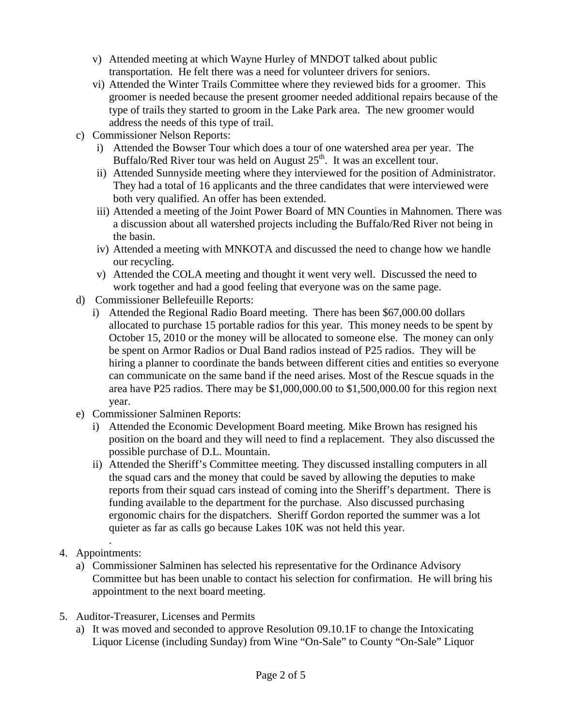- v) Attended meeting at which Wayne Hurley of MNDOT talked about public transportation. He felt there was a need for volunteer drivers for seniors.
- vi) Attended the Winter Trails Committee where they reviewed bids for a groomer. This groomer is needed because the present groomer needed additional repairs because of the type of trails they started to groom in the Lake Park area. The new groomer would address the needs of this type of trail.
- c) Commissioner Nelson Reports:
	- i) Attended the Bowser Tour which does a tour of one watershed area per year. The Buffalo/Red River tour was held on August  $25<sup>th</sup>$ . It was an excellent tour.
	- ii) Attended Sunnyside meeting where they interviewed for the position of Administrator. They had a total of 16 applicants and the three candidates that were interviewed were both very qualified. An offer has been extended.
	- iii) Attended a meeting of the Joint Power Board of MN Counties in Mahnomen. There was a discussion about all watershed projects including the Buffalo/Red River not being in the basin.
	- iv) Attended a meeting with MNKOTA and discussed the need to change how we handle our recycling.
	- v) Attended the COLA meeting and thought it went very well. Discussed the need to work together and had a good feeling that everyone was on the same page.
- d) Commissioner Bellefeuille Reports:
	- i) Attended the Regional Radio Board meeting. There has been \$67,000.00 dollars allocated to purchase 15 portable radios for this year. This money needs to be spent by October 15, 2010 or the money will be allocated to someone else. The money can only be spent on Armor Radios or Dual Band radios instead of P25 radios. They will be hiring a planner to coordinate the bands between different cities and entities so everyone can communicate on the same band if the need arises. Most of the Rescue squads in the area have P25 radios. There may be \$1,000,000.00 to \$1,500,000.00 for this region next year.
- e) Commissioner Salminen Reports:
	- i) Attended the Economic Development Board meeting. Mike Brown has resigned his position on the board and they will need to find a replacement. They also discussed the possible purchase of D.L. Mountain.
	- ii) Attended the Sheriff's Committee meeting. They discussed installing computers in all the squad cars and the money that could be saved by allowing the deputies to make reports from their squad cars instead of coming into the Sheriff's department. There is funding available to the department for the purchase. Also discussed purchasing ergonomic chairs for the dispatchers. Sheriff Gordon reported the summer was a lot quieter as far as calls go because Lakes 10K was not held this year.
- . 4. Appointments:
	- a) Commissioner Salminen has selected his representative for the Ordinance Advisory Committee but has been unable to contact his selection for confirmation. He will bring his appointment to the next board meeting.
- 5. Auditor-Treasurer, Licenses and Permits
	- a) It was moved and seconded to approve Resolution 09.10.1F to change the Intoxicating Liquor License (including Sunday) from Wine "On-Sale" to County "On-Sale" Liquor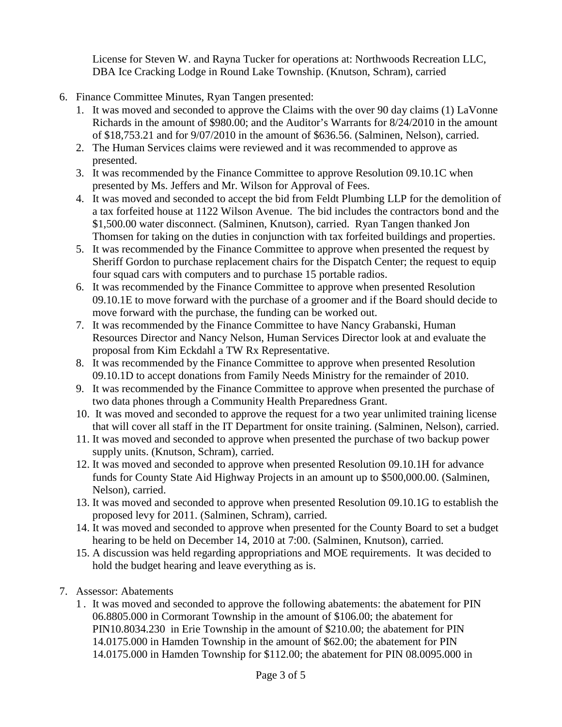License for Steven W. and Rayna Tucker for operations at: Northwoods Recreation LLC, DBA Ice Cracking Lodge in Round Lake Township. (Knutson, Schram), carried

- 6. Finance Committee Minutes, Ryan Tangen presented:
	- 1. It was moved and seconded to approve the Claims with the over 90 day claims (1) LaVonne Richards in the amount of \$980.00; and the Auditor's Warrants for 8/24/2010 in the amount of \$18,753.21 and for 9/07/2010 in the amount of \$636.56. (Salminen, Nelson), carried.
	- 2. The Human Services claims were reviewed and it was recommended to approve as presented.
	- 3. It was recommended by the Finance Committee to approve Resolution 09.10.1C when presented by Ms. Jeffers and Mr. Wilson for Approval of Fees.
	- 4. It was moved and seconded to accept the bid from Feldt Plumbing LLP for the demolition of a tax forfeited house at 1122 Wilson Avenue. The bid includes the contractors bond and the \$1,500.00 water disconnect. (Salminen, Knutson), carried. Ryan Tangen thanked Jon Thomsen for taking on the duties in conjunction with tax forfeited buildings and properties.
	- 5. It was recommended by the Finance Committee to approve when presented the request by Sheriff Gordon to purchase replacement chairs for the Dispatch Center; the request to equip four squad cars with computers and to purchase 15 portable radios.
	- 6. It was recommended by the Finance Committee to approve when presented Resolution 09.10.1E to move forward with the purchase of a groomer and if the Board should decide to move forward with the purchase, the funding can be worked out.
	- 7. It was recommended by the Finance Committee to have Nancy Grabanski, Human Resources Director and Nancy Nelson, Human Services Director look at and evaluate the proposal from Kim Eckdahl a TW Rx Representative.
	- 8. It was recommended by the Finance Committee to approve when presented Resolution 09.10.1D to accept donations from Family Needs Ministry for the remainder of 2010.
	- 9. It was recommended by the Finance Committee to approve when presented the purchase of two data phones through a Community Health Preparedness Grant.
	- 10. It was moved and seconded to approve the request for a two year unlimited training license that will cover all staff in the IT Department for onsite training. (Salminen, Nelson), carried.
	- 11. It was moved and seconded to approve when presented the purchase of two backup power supply units. (Knutson, Schram), carried.
	- 12. It was moved and seconded to approve when presented Resolution 09.10.1H for advance funds for County State Aid Highway Projects in an amount up to \$500,000.00. (Salminen, Nelson), carried.
	- 13. It was moved and seconded to approve when presented Resolution 09.10.1G to establish the proposed levy for 2011. (Salminen, Schram), carried.
	- 14. It was moved and seconded to approve when presented for the County Board to set a budget hearing to be held on December 14, 2010 at 7:00. (Salminen, Knutson), carried.
	- 15. A discussion was held regarding appropriations and MOE requirements. It was decided to hold the budget hearing and leave everything as is.
- 7. Assessor: Abatements
	- 1 . It was moved and seconded to approve the following abatements: the abatement for PIN 06.8805.000 in Cormorant Township in the amount of \$106.00; the abatement for PIN10.8034.230 in Erie Township in the amount of \$210.00; the abatement for PIN 14.0175.000 in Hamden Township in the amount of \$62.00; the abatement for PIN 14.0175.000 in Hamden Township for \$112.00; the abatement for PIN 08.0095.000 in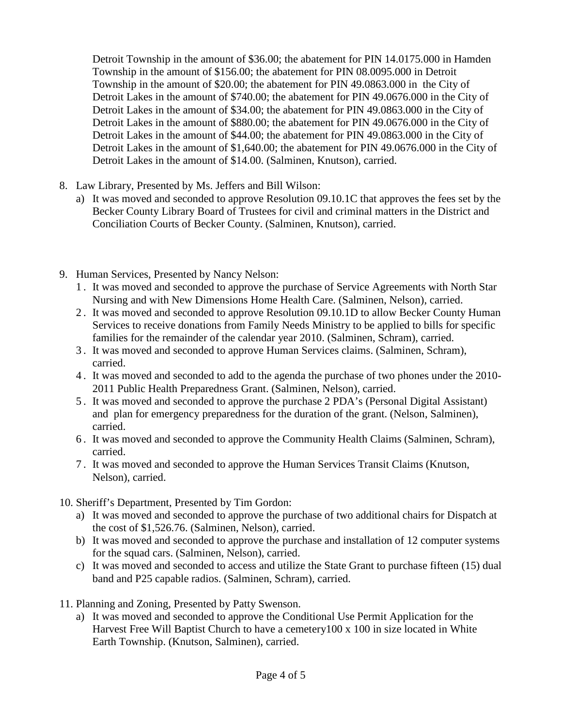Detroit Township in the amount of \$36.00; the abatement for PIN 14.0175.000 in Hamden Township in the amount of \$156.00; the abatement for PIN 08.0095.000 in Detroit Township in the amount of \$20.00; the abatement for PIN 49.0863.000 in the City of Detroit Lakes in the amount of \$740.00; the abatement for PIN 49.0676.000 in the City of Detroit Lakes in the amount of \$34.00; the abatement for PIN 49.0863.000 in the City of Detroit Lakes in the amount of \$880.00; the abatement for PIN 49.0676.000 in the City of Detroit Lakes in the amount of \$44.00; the abatement for PIN 49.0863.000 in the City of Detroit Lakes in the amount of \$1,640.00; the abatement for PIN 49.0676.000 in the City of Detroit Lakes in the amount of \$14.00. (Salminen, Knutson), carried.

- 8. Law Library, Presented by Ms. Jeffers and Bill Wilson:
	- a) It was moved and seconded to approve Resolution 09.10.1C that approves the fees set by the Becker County Library Board of Trustees for civil and criminal matters in the District and Conciliation Courts of Becker County. (Salminen, Knutson), carried.
- 9. Human Services, Presented by Nancy Nelson:
	- 1 . It was moved and seconded to approve the purchase of Service Agreements with North Star Nursing and with New Dimensions Home Health Care. (Salminen, Nelson), carried.
	- 2 . It was moved and seconded to approve Resolution 09.10.1D to allow Becker County Human Services to receive donations from Family Needs Ministry to be applied to bills for specific families for the remainder of the calendar year 2010. (Salminen, Schram), carried.
	- 3 . It was moved and seconded to approve Human Services claims. (Salminen, Schram), carried.
	- 4 . It was moved and seconded to add to the agenda the purchase of two phones under the 2010- 2011 Public Health Preparedness Grant. (Salminen, Nelson), carried.
	- 5 . It was moved and seconded to approve the purchase 2 PDA's (Personal Digital Assistant) and plan for emergency preparedness for the duration of the grant. (Nelson, Salminen), carried.
	- 6 . It was moved and seconded to approve the Community Health Claims (Salminen, Schram), carried.
	- 7 . It was moved and seconded to approve the Human Services Transit Claims (Knutson, Nelson), carried.
- 10. Sheriff's Department, Presented by Tim Gordon:
	- a) It was moved and seconded to approve the purchase of two additional chairs for Dispatch at the cost of \$1,526.76. (Salminen, Nelson), carried.
	- b) It was moved and seconded to approve the purchase and installation of 12 computer systems for the squad cars. (Salminen, Nelson), carried.
	- c) It was moved and seconded to access and utilize the State Grant to purchase fifteen (15) dual band and P25 capable radios. (Salminen, Schram), carried.
- 11. Planning and Zoning, Presented by Patty Swenson.
	- a) It was moved and seconded to approve the Conditional Use Permit Application for the Harvest Free Will Baptist Church to have a cemetery100 x 100 in size located in White Earth Township. (Knutson, Salminen), carried.